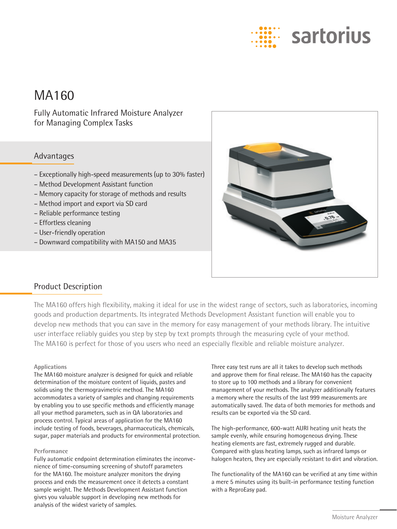

# MA160

Fully Automatic Infrared Moisture Analyzer for Managing Complex Tasks

# Advantages

- Exceptionally high-speed measurements (up to 30% faster)
- Method Development Assistant function
- Memory capacity for storage of methods and results
- Method import and export via SD card
- Reliable performance testing
- Effortless cleaning
- User-friendly operation
- Downward compatibility with MA150 and MA35



# Product Description

The MA160 offers high flexibility, making it ideal for use in the widest range of sectors, such as laboratories, incoming goods and production departments. Its integrated Methods Development Assistant function will enable you to develop new methods that you can save in the memory for easy management of your methods library. The intuitive user interface reliably guides you step by step by text prompts through the measuring cycle of your method. The MA160 is perfect for those of you users who need an especially flexible and reliable moisture analyzer.

# **Applications**

The MA160 moisture analyzer is designed for quick and reliable determination of the moisture content of liquids, pastes and solids using the thermogravimetric method. The MA160 accommodates a variety of samples and changing requirements by enabling you to use specific methods and efficiently manage all your method parameters, such as in QA laboratories and process control. Typical areas of application for the MA160 include testing of foods, beverages, pharmaceuticals, chemicals, sugar, paper materials and products for environmental protection.

## **Performance**

Fully automatic endpoint determination eliminates the inconvenience of time-consuming screening of shutoff parameters for the MA160. The moisture analyzer monitors the drying process and ends the measurement once it detects a constant sample weight. The Methods Development Assistant function gives you valuable support in developing new methods for analysis of the widest variety of samples.

Three easy test runs are all it takes to develop such methods and approve them for final release. The MA160 has the capacity to store up to 100 methods and a library for convenient management of your methods. The analyzer additionally features a memory where the results of the last 999 measurements are automatically saved. The data of both memories for methods and results can be exported via the SD card.

The high-performance, 600-watt AURI heating unit heats the sample evenly, while ensuring homogeneous drying. These heating elements are fast, extremely rugged and durable. Compared with glass heating lamps, such as infrared lamps or halogen heaters, they are especially resistant to dirt and vibration.

The functionality of the MA160 can be verified at any time within a mere 5 minutes using its built-in performance testing function with a ReproEasy pad.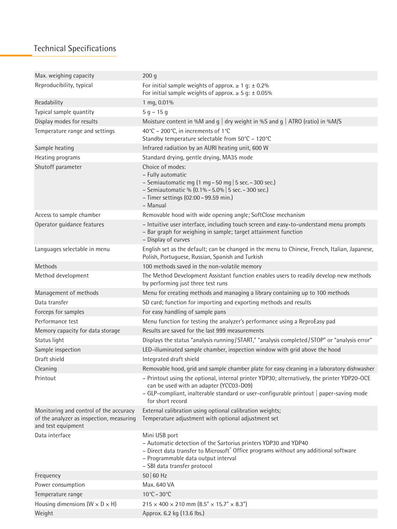# Technical Specifications

| Max. weighing capacity                                                                                   | 200 <sub>g</sub>                                                                                                                                                                                                                                      |
|----------------------------------------------------------------------------------------------------------|-------------------------------------------------------------------------------------------------------------------------------------------------------------------------------------------------------------------------------------------------------|
| Reproducibility, typical                                                                                 | For initial sample weights of approx. $\geq 1$ g: $\pm$ 0.2%<br>For initial sample weights of approx. $\geq 5$ g: $\pm$ 0.05%                                                                                                                         |
| Readability                                                                                              | 1 mg, 0.01%                                                                                                                                                                                                                                           |
| Typical sample quantity                                                                                  | $5 g - 15 g$                                                                                                                                                                                                                                          |
| Display modes for results                                                                                | Moisture content in %M and $g \mid$ dry weight in %S and $g \mid$ ATRO (ratio) in %M/S                                                                                                                                                                |
| Temperature range and settings                                                                           | 40°C - 200°C, in increments of 1°C<br>Standby temperature selectable from 50°C - 120°C                                                                                                                                                                |
| Sample heating                                                                                           | Infrared radiation by an AURI heating unit, 600 W                                                                                                                                                                                                     |
| Heating programs                                                                                         | Standard drying, gentle drying, MA35 mode                                                                                                                                                                                                             |
| Shutoff parameter                                                                                        | Choice of modes:<br>- Fully automatic<br>- Semiautomatic mg (1 mg - 50 mg $ 5 \text{ sec.}$ - 300 sec.)<br>- Semiautomatic % $(0.1\% - 5.0\% \mid 5 \text{ sec.} - 300 \text{ sec.})$<br>- Timer settings (02:00 - 99.59 min.)<br>- Manual            |
| Access to sample chamber                                                                                 | Removable hood with wide opening angle; SoftClose mechanism                                                                                                                                                                                           |
| Operator guidance features                                                                               | - Intuitive user interface, including touch screen and easy-to-understand menu prompts<br>- Bar graph for weighing in sample; target attainment function<br>- Display of curves                                                                       |
| Languages selectable in menu                                                                             | English set as the default; can be changed in the menu to Chinese, French, Italian, Japanese,<br>Polish, Portuguese, Russian, Spanish and Turkish                                                                                                     |
| Methods                                                                                                  | 100 methods saved in the non-volatile memory                                                                                                                                                                                                          |
| Method development                                                                                       | The Method Development Assistant function enables users to readily develop new methods<br>by performing just three test runs                                                                                                                          |
| Management of methods                                                                                    | Menu for creating methods and managing a library containing up to 100 methods                                                                                                                                                                         |
| Data transfer                                                                                            | SD card; function for importing and exporting methods and results                                                                                                                                                                                     |
| Forceps for samples                                                                                      | For easy handling of sample pans                                                                                                                                                                                                                      |
| Performance test                                                                                         | Menu function for testing the analyzer's performance using a ReproEasy pad                                                                                                                                                                            |
| Memory capacity for data storage                                                                         | Results are saved for the last 999 measurements                                                                                                                                                                                                       |
| Status light                                                                                             | Displays the status "analysis running / START," "analysis completed / STOP" or "analysis error"                                                                                                                                                       |
| Sample inspection                                                                                        | LED-illuminated sample chamber, inspection window with grid above the hood                                                                                                                                                                            |
| Draft shield                                                                                             | Integrated draft shield                                                                                                                                                                                                                               |
| Cleaning                                                                                                 | Removable hood, grid and sample chamber plate for easy cleaning in a laboratory dishwasher                                                                                                                                                            |
| Printout                                                                                                 | - Printout using the optional, internal printer YDP30; alternatively, the printer YDP20-OCE<br>can be used with an adapter (YCC03-D09)<br>- GLP-compliant, inalterable standard or user-configurable printout   paper-saving mode<br>for short record |
| Monitoring and control of the accuracy<br>of the analyzer as inspection, measuring<br>and test equipment | External calibration using optional calibration weights;<br>Temperature adjustment with optional adjustment set                                                                                                                                       |
| Data interface                                                                                           | Mini USB port<br>- Automatic detection of the Sartorius printers YDP30 and YDP40<br>- Direct data transfer to Microsoft® Office programs without any additional software<br>- Programmable data output interval<br>- SBI data transfer protocol       |
| Frequency                                                                                                | 50 60 Hz                                                                                                                                                                                                                                              |
| Power consumption                                                                                        | Max. 640 VA                                                                                                                                                                                                                                           |
| Temperature range                                                                                        | $10^{\circ}$ C – $30^{\circ}$ C                                                                                                                                                                                                                       |
| Housing dimensions ( $W \times D \times H$ )                                                             | $215 \times 400 \times 210$ mm $(8.5" \times 15.7" \times 8.3")$                                                                                                                                                                                      |
| Weight                                                                                                   | Approx. 6.2 kg (13.6 lbs.)                                                                                                                                                                                                                            |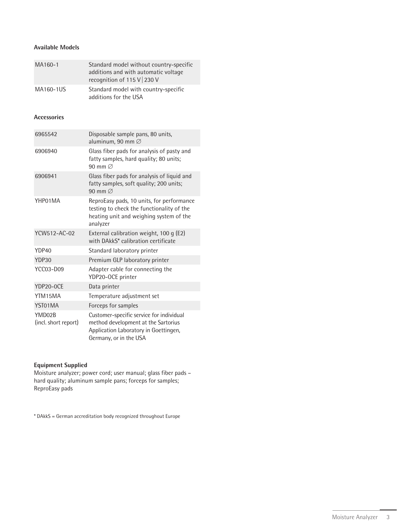## **Available Models**

| MA160-1   | Standard model without country-specific<br>additions and with automatic voltage<br>recognition of 115 V 230 V |
|-----------|---------------------------------------------------------------------------------------------------------------|
| MA160-1US | Standard model with country-specific<br>additions for the USA                                                 |

### **Accessories**

| 6965542                        | Disposable sample pans, 80 units,<br>aluminum, 90 mm Ø                                                                                             |
|--------------------------------|----------------------------------------------------------------------------------------------------------------------------------------------------|
| 6906940                        | Glass fiber pads for analysis of pasty and<br>fatty samples, hard quality; 80 units;<br>90 mm $\varnothing$                                        |
| 6906941                        | Glass fiber pads for analysis of liquid and<br>fatty samples, soft quality; 200 units;<br>90 mm $\varnothing$                                      |
| YHP01MA                        | ReproEasy pads, 10 units, for performance<br>testing to check the functionality of the<br>heating unit and weighing system of the<br>analyzer      |
| YCW512-AC-02                   | External calibration weight, 100 g (E2)<br>with DAkkS* calibration certificate                                                                     |
| YDP40                          | Standard laboratory printer                                                                                                                        |
| YDP30                          | Premium GLP laboratory printer                                                                                                                     |
| <b>YCC03-D09</b>               | Adapter cable for connecting the<br>YDP20-OCE printer                                                                                              |
| YDP20-OCE                      | Data printer                                                                                                                                       |
| YTM15MA                        | Temperature adjustment set                                                                                                                         |
| YST01MA                        | Forceps for samples                                                                                                                                |
| YMD02B<br>(incl. short report) | Customer-specific service for individual<br>method development at the Sartorius<br>Application Laboratory in Goettingen,<br>Germany, or in the USA |

## **Equipment Supplied**

Moisture analyzer; power cord; user manual; glass fiber pads – hard quality; aluminum sample pans; forceps for samples; ReproEasy pads

\* DAkkS = German accreditation body recognized throughout Europe